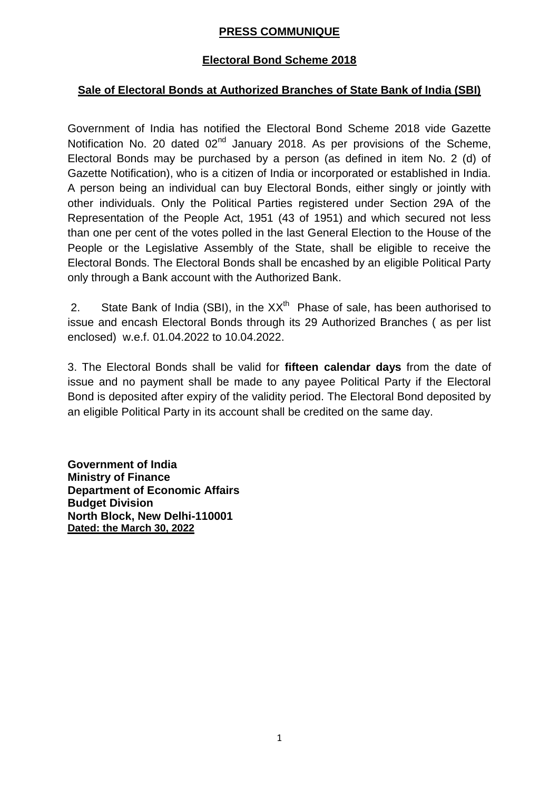### **PRESS COMMUNIQUE**

### **Electoral Bond Scheme 2018**

### **Sale of Electoral Bonds at Authorized Branches of State Bank of India (SBI)**

Government of India has notified the Electoral Bond Scheme 2018 vide Gazette Notification No. 20 dated  $02<sup>nd</sup>$  January 2018. As per provisions of the Scheme, Electoral Bonds may be purchased by a person (as defined in item No. 2 (d) of Gazette Notification), who is a citizen of India or incorporated or established in India. A person being an individual can buy Electoral Bonds, either singly or jointly with other individuals. Only the Political Parties registered under Section 29A of the Representation of the People Act, 1951 (43 of 1951) and which secured not less than one per cent of the votes polled in the last General Election to the House of the People or the Legislative Assembly of the State, shall be eligible to receive the Electoral Bonds. The Electoral Bonds shall be encashed by an eligible Political Party only through a Bank account with the Authorized Bank.

2. State Bank of India (SBI), in the  $XX<sup>th</sup>$  Phase of sale, has been authorised to issue and encash Electoral Bonds through its 29 Authorized Branches ( as per list enclosed) w.e.f. 01.04.2022 to 10.04.2022.

3. The Electoral Bonds shall be valid for **fifteen calendar days** from the date of issue and no payment shall be made to any payee Political Party if the Electoral Bond is deposited after expiry of the validity period. The Electoral Bond deposited by an eligible Political Party in its account shall be credited on the same day.

**Government of India Ministry of Finance Department of Economic Affairs Budget Division North Block, New Delhi-110001 Dated: the March 30, 2022**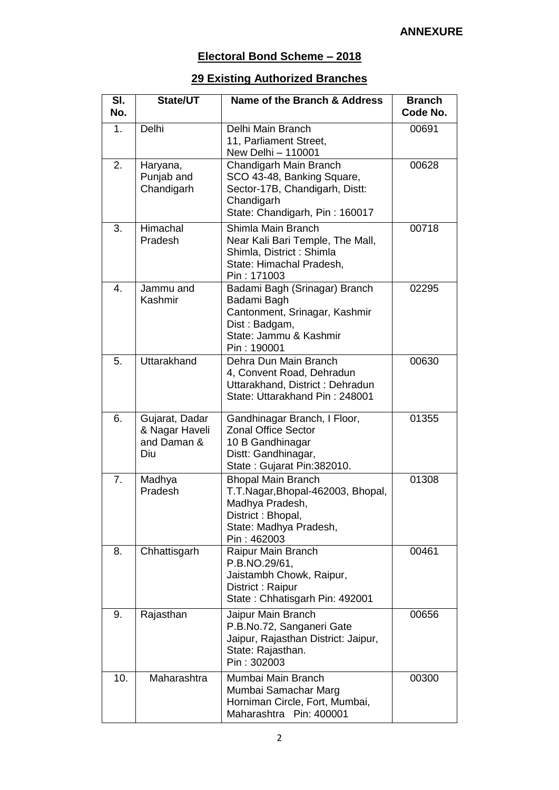# **Electoral Bond Scheme – 2018**

# **29 Existing Authorized Branches**

| SI.<br>No. | State/UT                                               | Name of the Branch & Address                                                                                                                    | <b>Branch</b><br>Code No. |
|------------|--------------------------------------------------------|-------------------------------------------------------------------------------------------------------------------------------------------------|---------------------------|
| 1.         | Delhi                                                  | Delhi Main Branch<br>11, Parliament Street,<br>New Delhi - 110001                                                                               | 00691                     |
| 2.         | Haryana,<br>Punjab and<br>Chandigarh                   | Chandigarh Main Branch<br>SCO 43-48, Banking Square,<br>Sector-17B, Chandigarh, Distt:<br>Chandigarh<br>State: Chandigarh, Pin: 160017          | 00628                     |
| 3.         | Himachal<br>Pradesh                                    | Shimla Main Branch<br>Near Kali Bari Temple, The Mall,<br>Shimla, District : Shimla<br>State: Himachal Pradesh,<br>Pin: 171003                  | 00718                     |
| 4.         | Jammu and<br>Kashmir                                   | Badami Bagh (Srinagar) Branch<br>Badami Bagh<br>Cantonment, Srinagar, Kashmir<br>Dist: Badgam,<br>State: Jammu & Kashmir<br>Pin: 190001         | 02295                     |
| 5.         | <b>Uttarakhand</b>                                     | Dehra Dun Main Branch<br>4, Convent Road, Dehradun<br>Uttarakhand, District: Dehradun<br>State: Uttarakhand Pin: 248001                         | 00630                     |
| 6.         | Gujarat, Dadar<br>& Nagar Haveli<br>and Daman &<br>Diu | Gandhinagar Branch, I Floor,<br><b>Zonal Office Sector</b><br>10 B Gandhinagar<br>Distt: Gandhinagar,<br>State: Gujarat Pin: 382010.            | 01355                     |
| 7.         | Madhya<br>Pradesh                                      | <b>Bhopal Main Branch</b><br>T.T.Nagar, Bhopal-462003, Bhopal,<br>Madhya Pradesh,<br>District: Bhopal,<br>State: Madhya Pradesh,<br>Pin: 462003 | 01308                     |
| 8.         | Chhattisgarh                                           | Raipur Main Branch<br>P.B.NO.29/61,<br>Jaistambh Chowk, Raipur,<br>District: Raipur<br>State: Chhatisgarh Pin: 492001                           | 00461                     |
| 9.         | Rajasthan                                              | Jaipur Main Branch<br>P.B.No.72, Sanganeri Gate<br>Jaipur, Rajasthan District: Jaipur,<br>State: Rajasthan.<br>Pin: 302003                      | 00656                     |
| 10.        | Maharashtra                                            | Mumbai Main Branch<br>Mumbai Samachar Marg<br>Horniman Circle, Fort, Mumbai,<br>Maharashtra Pin: 400001                                         | 00300                     |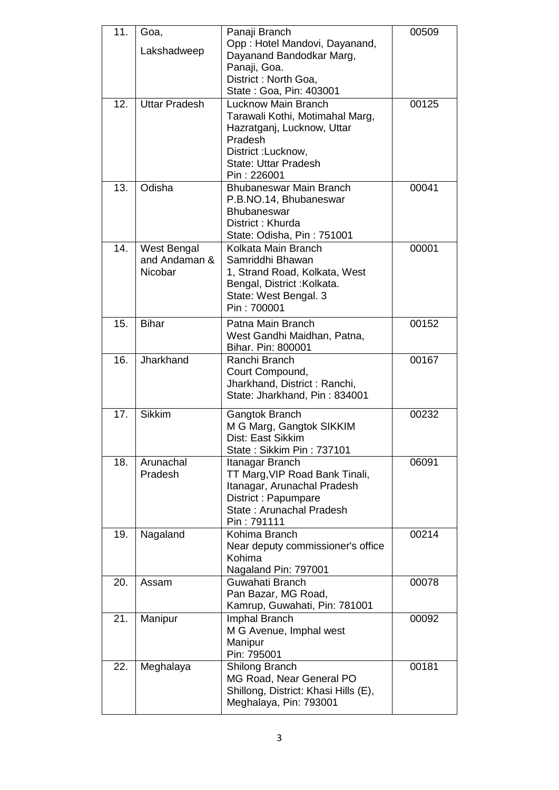| 11. | Goa,                 | Panaji Branch                                                    | 00509 |
|-----|----------------------|------------------------------------------------------------------|-------|
|     | Lakshadweep          | Opp: Hotel Mandovi, Dayanand,                                    |       |
|     |                      | Dayanand Bandodkar Marg,<br>Panaji, Goa.                         |       |
|     |                      | District: North Goa,                                             |       |
|     |                      | State: Goa, Pin: 403001                                          |       |
| 12. | <b>Uttar Pradesh</b> | <b>Lucknow Main Branch</b>                                       | 00125 |
|     |                      | Tarawali Kothi, Motimahal Marg,                                  |       |
|     |                      | Hazratganj, Lucknow, Uttar                                       |       |
|     |                      | Pradesh<br>District: Lucknow,                                    |       |
|     |                      | <b>State: Uttar Pradesh</b>                                      |       |
|     |                      | Pin: 226001                                                      |       |
| 13. | Odisha               | Bhubaneswar Main Branch                                          | 00041 |
|     |                      | P.B.NO.14, Bhubaneswar                                           |       |
|     |                      | <b>Bhubaneswar</b><br>District: Khurda                           |       |
|     |                      | State: Odisha, Pin: 751001                                       |       |
| 14. | West Bengal          | Kolkata Main Branch                                              | 00001 |
|     | and Andaman &        | Samriddhi Bhawan                                                 |       |
|     | Nicobar              | 1, Strand Road, Kolkata, West                                    |       |
|     |                      | Bengal, District: Kolkata.                                       |       |
|     |                      | State: West Bengal. 3                                            |       |
|     |                      | Pin: 700001                                                      |       |
| 15. | <b>Bihar</b>         | Patna Main Branch                                                | 00152 |
|     |                      | West Gandhi Maidhan, Patna,<br>Bihar. Pin: 800001                |       |
| 16. | Jharkhand            | Ranchi Branch                                                    | 00167 |
|     |                      | Court Compound,                                                  |       |
|     |                      | Jharkhand, District: Ranchi,                                     |       |
|     |                      | State: Jharkhand, Pin: 834001                                    |       |
| 17. | <b>Sikkim</b>        | Gangtok Branch                                                   | 00232 |
|     |                      | M G Marg, Gangtok SIKKIM                                         |       |
|     |                      | Dist: East Sikkim<br>State: Sikkim Pin: 737101                   |       |
| 18. | Arunachal            | Itanagar Branch                                                  | 06091 |
|     | Pradesh              | TT Marg, VIP Road Bank Tinali,                                   |       |
|     |                      | Itanagar, Arunachal Pradesh                                      |       |
|     |                      | District: Papumpare                                              |       |
|     |                      | State: Arunachal Pradesh<br>Pin: 791111                          |       |
| 19. | Nagaland             | Kohima Branch                                                    | 00214 |
|     |                      | Near deputy commissioner's office                                |       |
|     |                      | Kohima                                                           |       |
|     |                      | Nagaland Pin: 797001                                             |       |
| 20. | Assam                | Guwahati Branch                                                  | 00078 |
|     |                      | Pan Bazar, MG Road,<br>Kamrup, Guwahati, Pin: 781001             |       |
| 21. | Manipur              | Imphal Branch                                                    | 00092 |
|     |                      | M G Avenue, Imphal west                                          |       |
|     |                      | Manipur                                                          |       |
|     |                      | Pin: 795001                                                      |       |
| 22. | Meghalaya            | <b>Shilong Branch</b>                                            | 00181 |
|     |                      | MG Road, Near General PO<br>Shillong, District: Khasi Hills (E), |       |
|     |                      | Meghalaya, Pin: 793001                                           |       |
|     |                      |                                                                  |       |